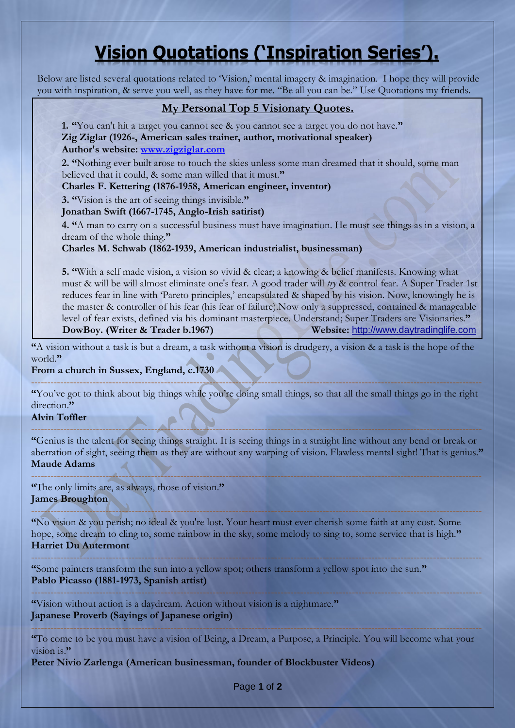## **Vision Quotations ('Inspiration Series').**

Below are listed several quotations related to Vision,' mental imagery & imagination. I hope they will provide you with inspiration, & serve you well, as they have for me. "Be all you can be." Use Quotations my friends.

## **My Personal Top 5 Visionary Quotes.**

**1. "**You can't hit a target you cannot see & you cannot see a target you do not have.**" Zig Ziglar (1926-, American sales trainer, author, motivational speaker) Author's website: [www.zigziglar.com](http://www.zigziglar.com/)**

**2. "**Nothing ever built arose to touch the skies unless some man dreamed that it should, some man believed that it could, & some man willed that it must.**"**

**Charles F. Kettering (1876-1958, American engineer, inventor)**

**3. "**Vision is the art of seeing things invisible.**"**

**Jonathan Swift (1667-1745, Anglo-Irish satirist)** 

**4. "**A man to carry on a successful business must have imagination. He must see things as in a vision, a dream of the whole thing.**"**

**Charles M. Schwab (1862-1939, American industrialist, businessman)** 

**5. "**With a self made vision, a vision so vivid & clear; a knowing & belief manifests. Knowing what must & will be will almost eliminate one's fear. A good trader will *try* & control fear. A Super Trader 1st reduces fear in line with 'Pareto principles,' encapsulated & shaped by his vision. Now, knowingly he is the master & controller of his fear (his fear of failure).Now only a suppressed, contained & manageable level of fear exists, defined via his dominant masterpiece. Understand; Super Traders are Visionaries.**" DowBoy. (Writer & Trader b.1967) Website:** [http://www.daytradinglife.com](http://www.daytradinglife.com/)

**"**A vision without a task is but a dream, a task without a vision is drudgery, a vision & a task is the hope of the world.**"**

## **From a church in Sussex, England, c.1730**

------------------------------------------------------------------------------------------------------------------------------------------- **"**You"ve got to think about big things while you"re doing small things, so that all the small things go in the right direction<sup>"</sup>

**Alvin Toffler** 

**"**Genius is the talent for seeing things straight. It is seeing things in a straight line without any bend or break or aberration of sight, seeing them as they are without any warping of vision. Flawless mental sight! That is genius.**" Maude Adams** 

-------------------------------------------------------------------------------------------------------------------------------------------

-------------------------------------------------------------------------------------------------------------------------------------------

**"**The only limits are, as always, those of vision.**" James Broughton** 

------------------------------------------------------------------------------------------------------------------------------------------- **"**No vision & you perish; no ideal & you're lost. Your heart must ever cherish some faith at any cost. Some hope, some dream to cling to, some rainbow in the sky, some melody to sing to, some service that is high.**" Harriet Du Autermont** 

------------------------------------------------------------------------------------------------------------------------------------------- **"**Some painters transform the sun into a yellow spot; others transform a yellow spot into the sun.**" Pablo Picasso (1881-1973, Spanish artist)** 

**"**Vision without action is a daydream. Action without vision is a nightmare.**" Japanese Proverb (Sayings of Japanese origin)** 

**"**To come to be you must have a vision of Being, a Dream, a Purpose, a Principle. You will become what your vision is.**"**

-------------------------------------------------------------------------------------------------------------------------------------------

-------------------------------------------------------------------------------------------------------------------------------------------

**Peter Nivio Zarlenga (American businessman, founder of Blockbuster Videos)** 

Page **1** of **2**